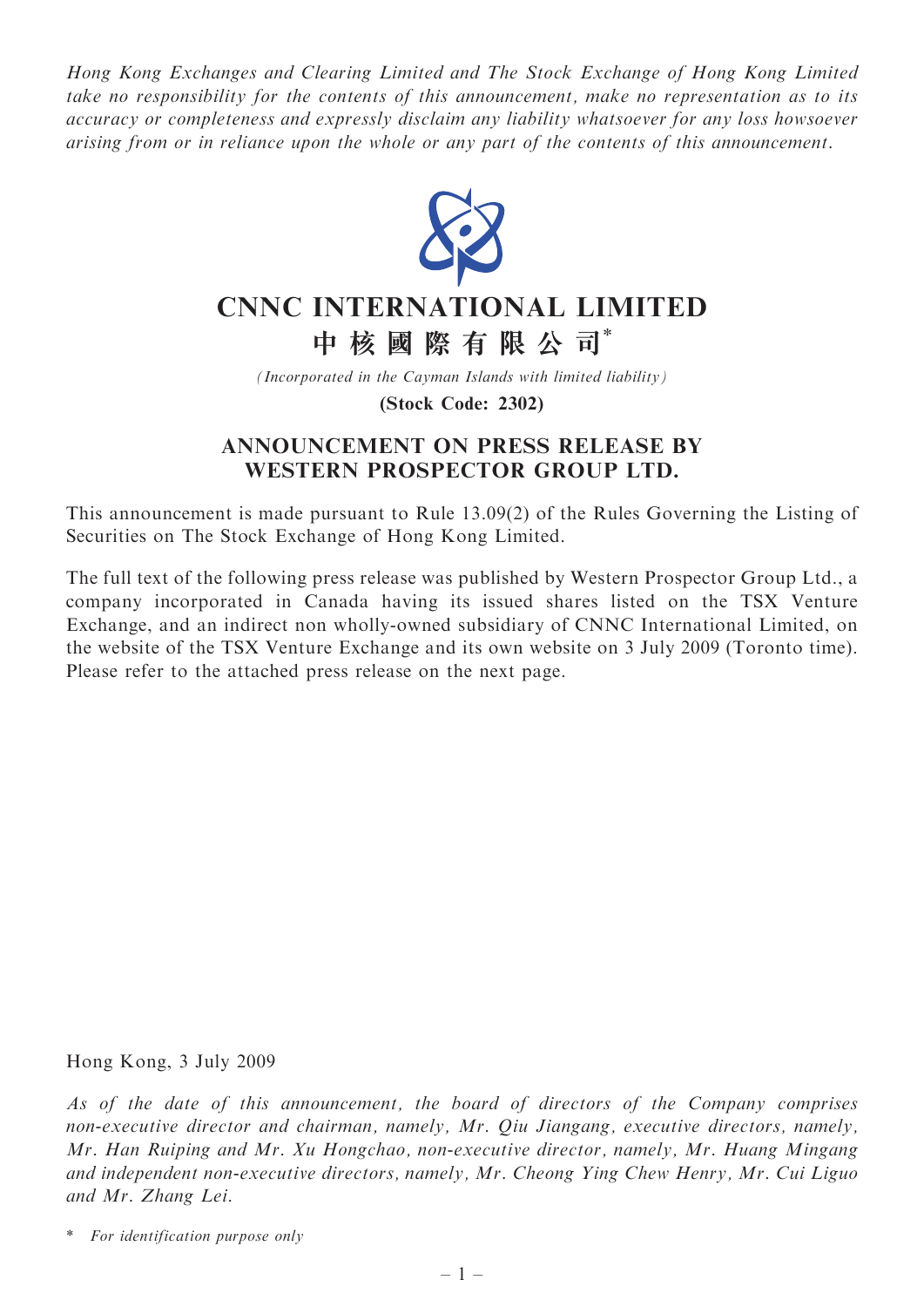Hong Kong Exchanges and Clearing Limited and The Stock Exchange of Hong Kong Limited take no responsibility for the contents of this announcement, make no representation as to its accuracy or completeness and expressly disclaim any liability whatsoever for any loss howsoever arising from or in reliance upon the whole or any part of the contents of this announcement.



# CNNC INTERNATIONAL LIMITED

中 核 國 際 有 限 公 司\*

(Incorporated in the Cayman Islands with limited liability)

(Stock Code: 2302)

## ANNOUNCEMENT ON PRESS RELEASE BY WESTERN PROSPECTOR GROUP LTD.

This announcement is made pursuant to Rule 13.09(2) of the Rules Governing the Listing of Securities on The Stock Exchange of Hong Kong Limited.

The full text of the following press release was published by Western Prospector Group Ltd., a company incorporated in Canada having its issued shares listed on the TSX Venture Exchange, and an indirect non wholly-owned subsidiary of CNNC International Limited, on the website of the TSX Venture Exchange and its own website on 3 July 2009 (Toronto time). Please refer to the attached press release on the next page.

Hong Kong, 3 July 2009

As of the date of this announcement, the board of directors of the Company comprises non-executive director and chairman, namely, Mr. Qiu Jiangang, executive directors, namely, Mr. Han Ruiping and Mr. Xu Hongchao, non-executive director, namely, Mr. Huang Mingang and independent non-executive directors, namely, Mr. Cheong Ying Chew Henry, Mr. Cui Liguo and Mr. Zhang Lei.

<sup>\*</sup> For identification purpose only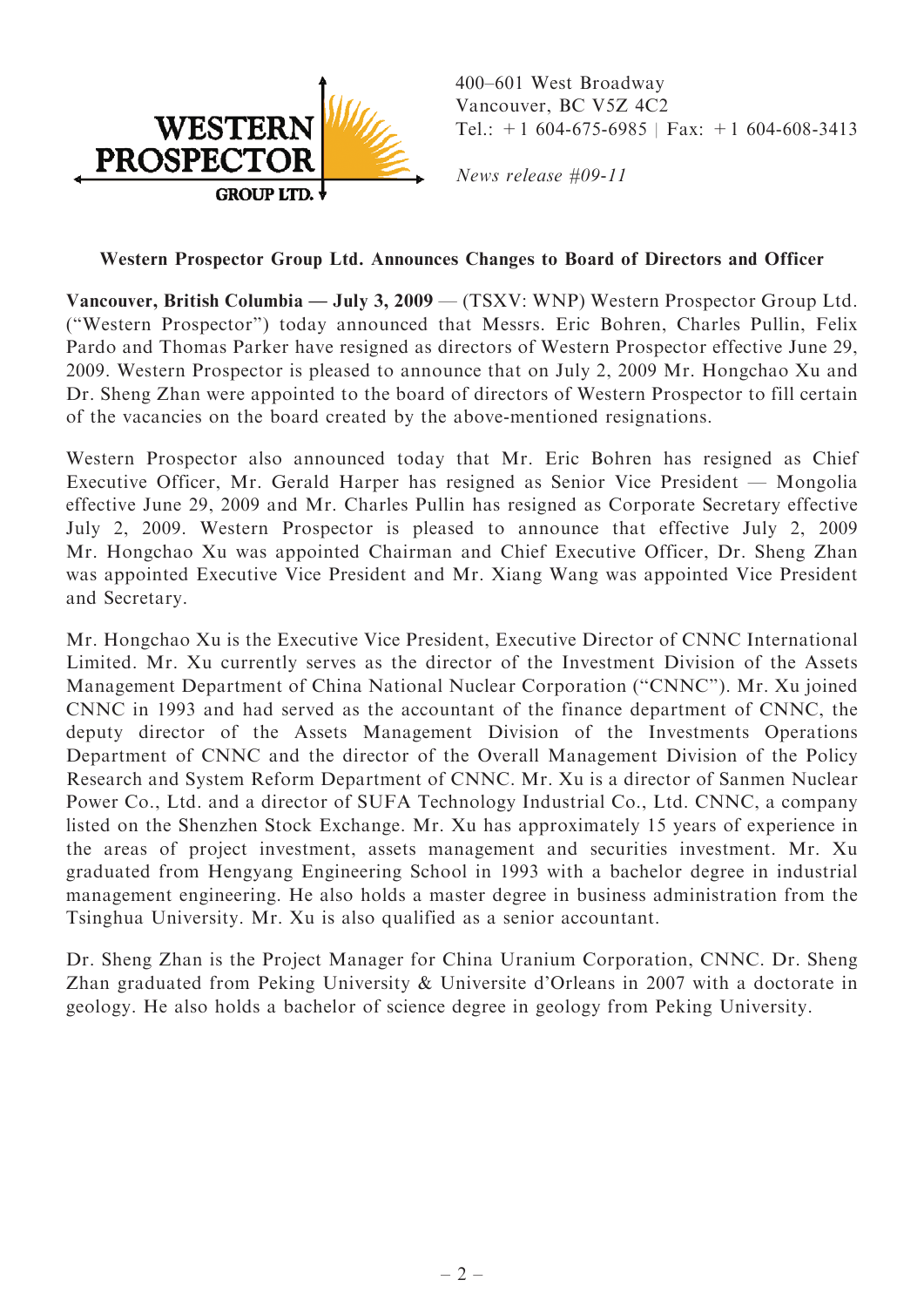

400–601 West Broadway Vancouver, BC V5Z 4C2 Tel.:  $+1$  604-675-6985 | Fax:  $+1$  604-608-3413

News release #09-11

### Western Prospector Group Ltd. Announces Changes to Board of Directors and Officer

Vancouver, British Columbia — July 3, 2009 — (TSXV: WNP) Western Prospector Group Ltd. (''Western Prospector'') today announced that Messrs. Eric Bohren, Charles Pullin, Felix Pardo and Thomas Parker have resigned as directors of Western Prospector effective June 29, 2009. Western Prospector is pleased to announce that on July 2, 2009 Mr. Hongchao Xu and Dr. Sheng Zhan were appointed to the board of directors of Western Prospector to fill certain of the vacancies on the board created by the above-mentioned resignations.

Western Prospector also announced today that Mr. Eric Bohren has resigned as Chief Executive Officer, Mr. Gerald Harper has resigned as Senior Vice President — Mongolia effective June 29, 2009 and Mr. Charles Pullin has resigned as Corporate Secretary effective July 2, 2009. Western Prospector is pleased to announce that effective July 2, 2009 Mr. Hongchao Xu was appointed Chairman and Chief Executive Officer, Dr. Sheng Zhan was appointed Executive Vice President and Mr. Xiang Wang was appointed Vice President and Secretary.

Mr. Hongchao Xu is the Executive Vice President, Executive Director of CNNC International Limited. Mr. Xu currently serves as the director of the Investment Division of the Assets Management Department of China National Nuclear Corporation (''CNNC''). Mr. Xu joined CNNC in 1993 and had served as the accountant of the finance department of CNNC, the deputy director of the Assets Management Division of the Investments Operations Department of CNNC and the director of the Overall Management Division of the Policy Research and System Reform Department of CNNC. Mr. Xu is a director of Sanmen Nuclear Power Co., Ltd. and a director of SUFA Technology Industrial Co., Ltd. CNNC, a company listed on the Shenzhen Stock Exchange. Mr. Xu has approximately 15 years of experience in the areas of project investment, assets management and securities investment. Mr. Xu graduated from Hengyang Engineering School in 1993 with a bachelor degree in industrial management engineering. He also holds a master degree in business administration from the Tsinghua University. Mr. Xu is also qualified as a senior accountant.

Dr. Sheng Zhan is the Project Manager for China Uranium Corporation, CNNC. Dr. Sheng Zhan graduated from Peking University & Universite d'Orleans in 2007 with a doctorate in geology. He also holds a bachelor of science degree in geology from Peking University.